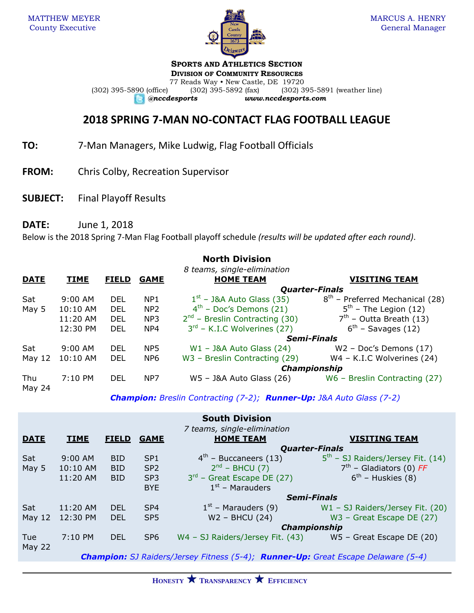

## **SPORTS AND ATHLETICS SECTION**

**DIVISION OF COMMUNITY RESOURCES** 77 Reads Way • New Castle, DE 19720<br>(302) 395-5892 (fax) (302) 3 (302) 395-5890 (office) (302) 395-5892 (fax) (302) 395-5891 (weather line)

*@nccdesports www.nccdesports.com*

## **2018 SPRING 7-MAN NO-CONTACT FLAG FOOTBALL LEAGUE**

**TO:** 7-Man Managers, Mike Ludwig, Flag Football Officials

- **FROM:** Chris Colby, Recreation Supervisor
- **SUBJECT:** Final Playoff Results

**DATE:** June 1, 2018

Below is the 2018 Spring 7-Man Flag Football playoff schedule *(results will be updated after each round)*.

|               |             |              |                 | <b>North Division</b>               |                                   |
|---------------|-------------|--------------|-----------------|-------------------------------------|-----------------------------------|
|               |             |              |                 | 8 teams, single-elimination         |                                   |
| <b>DATE</b>   | <b>TIME</b> | <b>FIELD</b> | <b>GAME</b>     | <b>HOME TEAM</b>                    | <b>VISITING TEAM</b>              |
|               |             |              |                 |                                     | <b>Quarter-Finals</b>             |
| Sat           | $9:00$ AM   | DEL          | NP <sub>1</sub> | $1st$ – J&A Auto Glass (35)         | $8th$ – Preferred Mechanical (28) |
| May 5         | 10:10 AM    | <b>DEL</b>   | NP <sub>2</sub> | $4th$ – Doc's Demons (21)           | $5th$ – The Legion (12)           |
|               | 11:20 AM    | DEL          | NP <sub>3</sub> | $2^{nd}$ – Breslin Contracting (30) | $7th$ – Outta Breath (13)         |
|               | 12:30 PM    | <b>DEL</b>   | NP <sub>4</sub> | $3rd$ – K.I.C Wolverines (27)       | $6th$ – Savages (12)              |
|               |             |              |                 |                                     | <b>Semi-Finals</b>                |
| Sat           | $9:00$ AM   | <b>DEL</b>   | NP <sub>5</sub> | $W1 - 38A$ Auto Glass (24)          | $W2$ – Doc's Demons (17)          |
| May $12$      | 10:10 AM    | <b>DEL</b>   | NP <sub>6</sub> | W3 - Breslin Contracting (29)       | W4 - K.I.C Wolverines (24)        |
|               |             |              |                 |                                     | Championship                      |
| Thu<br>May 24 | 7:10 PM     | DEL          | NP7             | $W5 - 38A$ Auto Glass (26)          | W6 - Breslin Contracting (27)     |

*Champion: Breslin Contracting (7-2); Runner-Up: J&A Auto Glass (7-2)*

|                                                                                                 |             |              |                 | <b>South Division</b>                                      |                                     |  |
|-------------------------------------------------------------------------------------------------|-------------|--------------|-----------------|------------------------------------------------------------|-------------------------------------|--|
| 7 teams, single-elimination                                                                     |             |              |                 |                                                            |                                     |  |
| <b>DATE</b>                                                                                     | <b>TIME</b> | <b>FIELD</b> | <b>GAME</b>     | <b>HOME TEAM</b>                                           | <b>VISITING TEAM</b>                |  |
|                                                                                                 |             |              |                 | <b>Quarter-Finals</b>                                      |                                     |  |
| Sat                                                                                             | $9:00$ AM   | <b>BID</b>   | SP <sub>1</sub> | $4th$ – Buccaneers (13)                                    | $5th$ – SJ Raiders/Jersey Fit. (14) |  |
| May 5                                                                                           | 10:10 AM    | <b>BID</b>   | SP <sub>2</sub> | $2nd$ – BHCU (7)                                           | $7th$ – Gladiators (0) FF           |  |
|                                                                                                 | 11:20 AM    | <b>BID</b>   | SP <sub>3</sub> | $3rd$ – Great Escape DE (27)                               | $6th$ – Huskies (8)                 |  |
|                                                                                                 |             |              | <b>BYE</b>      | $1st$ – Marauders                                          |                                     |  |
|                                                                                                 |             |              |                 | <b>Semi-Finals</b>                                         |                                     |  |
| Sat                                                                                             | $11:20$ AM  | DEL.         | SP <sub>4</sub> | $1st$ – Marauders (9)                                      | $W1 - SJ$ Raiders/Jersey Fit. (20)  |  |
| May $12$                                                                                        | 12:30 PM    | <b>DEL</b>   | SP <sub>5</sub> | $W2 - BHCU(24)$                                            | $W3$ – Great Escape DE (27)         |  |
|                                                                                                 |             |              |                 | <b>Championship</b>                                        |                                     |  |
| <b>Tue</b>                                                                                      | 7:10 PM     | <b>DEL</b>   | SP <sub>6</sub> | W4 - SJ Raiders/Jersey Fit. (43) W5 - Great Escape DE (20) |                                     |  |
| <b>May 22</b>                                                                                   |             |              |                 |                                                            |                                     |  |
| <b>Champion:</b> SJ Raiders/Jersey Fitness (5-4); <b>Runner-Up:</b> Great Escape Delaware (5-4) |             |              |                 |                                                            |                                     |  |